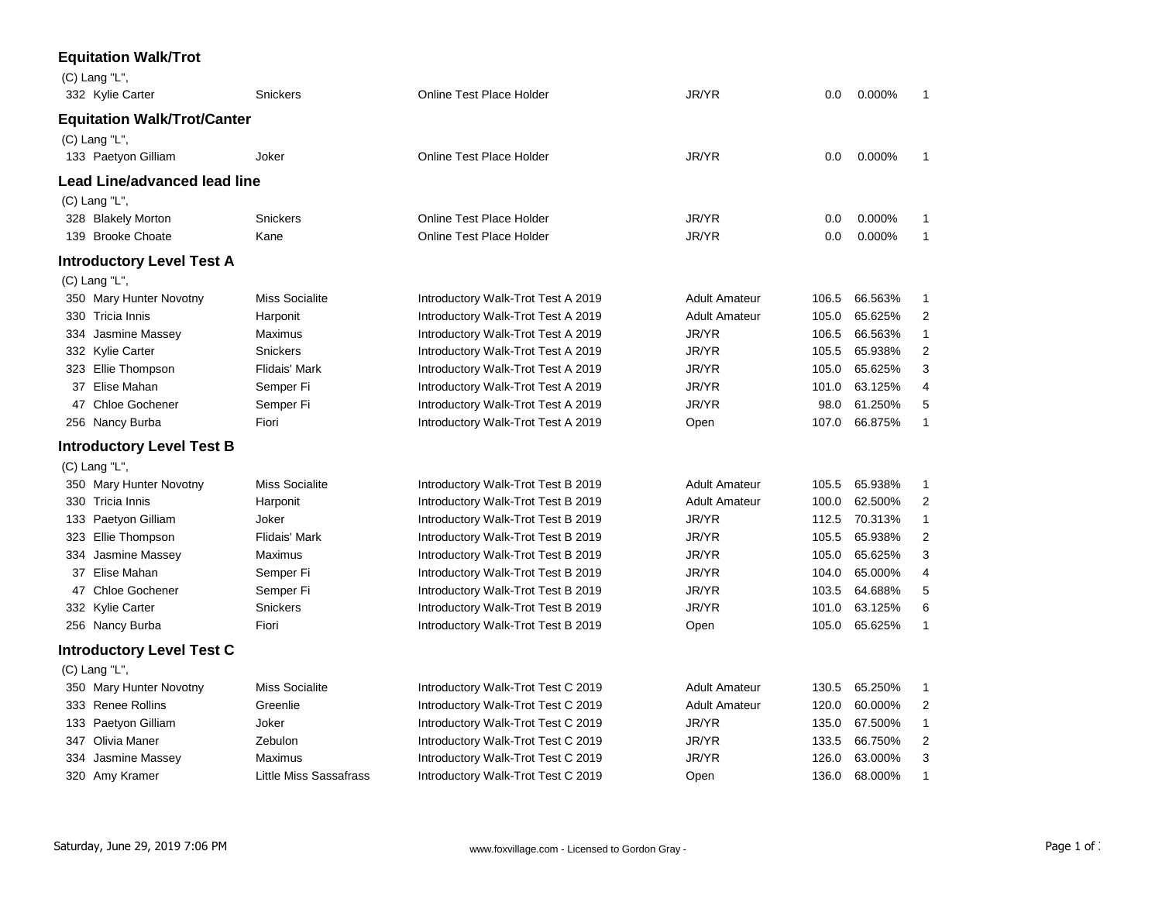|     | <b>Equitation Walk/Trot</b>        |                        |                                    |                      |       |         |                |
|-----|------------------------------------|------------------------|------------------------------------|----------------------|-------|---------|----------------|
|     | (C) Lang "L",                      |                        |                                    |                      |       |         |                |
|     | 332 Kylie Carter                   | Snickers               | Online Test Place Holder           | JR/YR                | 0.0   | 0.000%  | 1              |
|     | <b>Equitation Walk/Trot/Canter</b> |                        |                                    |                      |       |         |                |
|     | (C) Lang "L",                      |                        |                                    |                      |       |         |                |
|     | 133 Paetyon Gilliam                | Joker                  | Online Test Place Holder           | JR/YR                | 0.0   | 0.000%  | 1              |
|     | Lead Line/advanced lead line       |                        |                                    |                      |       |         |                |
|     | $(C)$ Lang "L",                    |                        |                                    |                      |       |         |                |
|     | 328 Blakely Morton                 | Snickers               | Online Test Place Holder           | JR/YR                | 0.0   | 0.000%  | 1              |
|     | 139 Brooke Choate                  | Kane                   | <b>Online Test Place Holder</b>    | JR/YR                | 0.0   | 0.000%  | 1              |
|     | <b>Introductory Level Test A</b>   |                        |                                    |                      |       |         |                |
|     | $(C)$ Lang "L",                    |                        |                                    |                      |       |         |                |
|     | 350 Mary Hunter Novotny            | <b>Miss Socialite</b>  | Introductory Walk-Trot Test A 2019 | <b>Adult Amateur</b> | 106.5 | 66.563% | $\mathbf{1}$   |
|     | 330 Tricia Innis                   | Harponit               | Introductory Walk-Trot Test A 2019 | <b>Adult Amateur</b> | 105.0 | 65.625% | 2              |
|     | 334 Jasmine Massey                 | Maximus                | Introductory Walk-Trot Test A 2019 | JR/YR                | 106.5 | 66.563% | $\mathbf{1}$   |
|     | 332 Kylie Carter                   | <b>Snickers</b>        | Introductory Walk-Trot Test A 2019 | JR/YR                | 105.5 | 65.938% | 2              |
|     | 323 Ellie Thompson                 | <b>Flidais' Mark</b>   | Introductory Walk-Trot Test A 2019 | JR/YR                | 105.0 | 65.625% | 3              |
|     | 37 Elise Mahan                     | Semper Fi              | Introductory Walk-Trot Test A 2019 | JR/YR                | 101.0 | 63.125% | $\overline{4}$ |
|     | 47 Chloe Gochener                  | Semper Fi              | Introductory Walk-Trot Test A 2019 | JR/YR                | 98.0  | 61.250% | 5              |
|     | 256 Nancy Burba                    | Fiori                  | Introductory Walk-Trot Test A 2019 | Open                 | 107.0 | 66.875% | 1              |
|     | <b>Introductory Level Test B</b>   |                        |                                    |                      |       |         |                |
|     | (C) Lang "L",                      |                        |                                    |                      |       |         |                |
|     | 350 Mary Hunter Novotny            | <b>Miss Socialite</b>  | Introductory Walk-Trot Test B 2019 | <b>Adult Amateur</b> | 105.5 | 65.938% | 1              |
|     | 330 Tricia Innis                   | Harponit               | Introductory Walk-Trot Test B 2019 | <b>Adult Amateur</b> | 100.0 | 62.500% | $\overline{2}$ |
|     | 133 Paetyon Gilliam                | Joker                  | Introductory Walk-Trot Test B 2019 | JR/YR                | 112.5 | 70.313% | $\mathbf{1}$   |
|     | 323 Ellie Thompson                 | <b>Flidais' Mark</b>   | Introductory Walk-Trot Test B 2019 | JR/YR                | 105.5 | 65.938% | 2              |
|     | 334 Jasmine Massey                 | Maximus                | Introductory Walk-Trot Test B 2019 | JR/YR                | 105.0 | 65.625% | 3              |
|     | 37 Elise Mahan                     | Semper Fi              | Introductory Walk-Trot Test B 2019 | JR/YR                | 104.0 | 65.000% | 4              |
|     | 47 Chloe Gochener                  | Semper Fi              | Introductory Walk-Trot Test B 2019 | JR/YR                | 103.5 | 64.688% | 5              |
|     | 332 Kylie Carter                   | Snickers               | Introductory Walk-Trot Test B 2019 | JR/YR                | 101.0 | 63.125% | 6              |
|     | 256 Nancy Burba                    | Fiori                  | Introductory Walk-Trot Test B 2019 | Open                 | 105.0 | 65.625% | $\mathbf{1}$   |
|     | <b>Introductory Level Test C</b>   |                        |                                    |                      |       |         |                |
|     | (C) Lang "L",                      |                        |                                    |                      |       |         |                |
|     | 350 Mary Hunter Novotny            | <b>Miss Socialite</b>  | Introductory Walk-Trot Test C 2019 | <b>Adult Amateur</b> | 130.5 | 65.250% | 1              |
|     | 333 Renee Rollins                  | Greenlie               | Introductory Walk-Trot Test C 2019 | <b>Adult Amateur</b> | 120.0 | 60.000% | $\overline{c}$ |
|     | 133 Paetyon Gilliam                | Joker                  | Introductory Walk-Trot Test C 2019 | JR/YR                | 135.0 | 67.500% | 1              |
|     | 347 Olivia Maner                   | Zebulon                | Introductory Walk-Trot Test C 2019 | JR/YR                | 133.5 | 66.750% | 2              |
| 334 | Jasmine Massey                     | Maximus                | Introductory Walk-Trot Test C 2019 | JR/YR                | 126.0 | 63.000% | 3              |
|     | 320 Amy Kramer                     | Little Miss Sassafrass | Introductory Walk-Trot Test C 2019 | Open                 | 136.0 | 68.000% | $\mathbf{1}$   |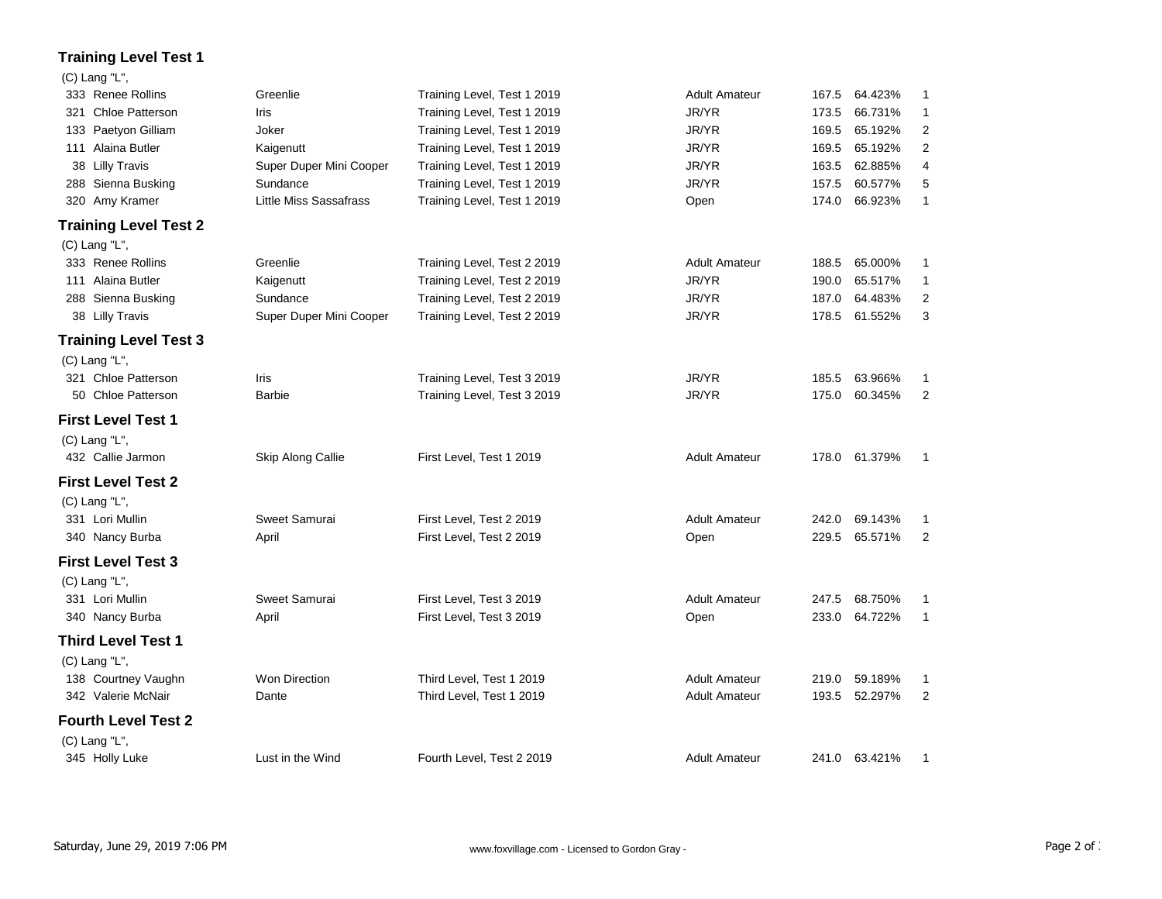## **Training Level Test 1**

## (C) Lang "L",

| 333 Renee Rollins            | Greenlie                | Training Level, Test 1 2019 | <b>Adult Amateur</b> |       | 167.5 64.423% | 1              |
|------------------------------|-------------------------|-----------------------------|----------------------|-------|---------------|----------------|
| 321 Chloe Patterson          | Iris                    | Training Level, Test 1 2019 | JR/YR                | 173.5 | 66.731%       | 1              |
| 133 Paetyon Gilliam          | Joker                   | Training Level, Test 1 2019 | JR/YR                | 169.5 | 65.192%       | 2              |
| 111 Alaina Butler            | Kaigenutt               | Training Level, Test 1 2019 | JR/YR                | 169.5 | 65.192%       | 2              |
| 38 Lilly Travis              | Super Duper Mini Cooper | Training Level, Test 1 2019 | JR/YR                | 163.5 | 62.885%       | 4              |
| 288 Sienna Busking           | Sundance                | Training Level, Test 1 2019 | JR/YR                | 157.5 | 60.577%       | 5              |
| 320 Amy Kramer               | Little Miss Sassafrass  | Training Level, Test 1 2019 | Open                 | 174.0 | 66.923%       | $\mathbf{1}$   |
| <b>Training Level Test 2</b> |                         |                             |                      |       |               |                |
| $(C)$ Lang "L",              |                         |                             |                      |       |               |                |
| 333 Renee Rollins            | Greenlie                | Training Level, Test 2 2019 | <b>Adult Amateur</b> |       | 188.5 65.000% | $\mathbf{1}$   |
| 111 Alaina Butler            | Kaigenutt               | Training Level, Test 2 2019 | JR/YR                | 190.0 | 65.517%       | $\mathbf{1}$   |
| 288 Sienna Busking           | Sundance                | Training Level, Test 2 2019 | JR/YR                | 187.0 | 64.483%       | $\overline{2}$ |
| 38 Lilly Travis              | Super Duper Mini Cooper | Training Level, Test 2 2019 | JR/YR                |       | 178.5 61.552% | 3              |
| <b>Training Level Test 3</b> |                         |                             |                      |       |               |                |
| $(C)$ Lang "L",              |                         |                             |                      |       |               |                |
| 321 Chloe Patterson          | Iris                    | Training Level, Test 3 2019 | JR/YR                | 185.5 | 63.966%       | 1              |
| 50 Chloe Patterson           | Barbie                  | Training Level, Test 3 2019 | JR/YR                | 175.0 | 60.345%       | $\overline{2}$ |
| <b>First Level Test 1</b>    |                         |                             |                      |       |               |                |
| (C) Lang "L",                |                         |                             |                      |       |               |                |
| 432 Callie Jarmon            | Skip Along Callie       | First Level, Test 1 2019    | <b>Adult Amateur</b> |       | 178.0 61.379% | $\mathbf{1}$   |
| <b>First Level Test 2</b>    |                         |                             |                      |       |               |                |
| (C) Lang "L",                |                         |                             |                      |       |               |                |
| 331 Lori Mullin              | Sweet Samurai           | First Level, Test 2 2019    | <b>Adult Amateur</b> | 242.0 | 69.143%       | 1              |
| 340 Nancy Burba              | April                   | First Level, Test 2 2019    | Open                 | 229.5 | 65.571%       | $\overline{2}$ |
| <b>First Level Test 3</b>    |                         |                             |                      |       |               |                |
| (C) Lang "L",                |                         |                             |                      |       |               |                |
| 331 Lori Mullin              | Sweet Samurai           | First Level, Test 3 2019    | <b>Adult Amateur</b> |       | 247.5 68.750% | 1              |
| 340 Nancy Burba              | April                   | First Level, Test 3 2019    | Open                 |       | 233.0 64.722% | $\mathbf{1}$   |
| <b>Third Level Test 1</b>    |                         |                             |                      |       |               |                |
| (C) Lang "L",                |                         |                             |                      |       |               |                |
| 138 Courtney Vaughn          | Won Direction           | Third Level, Test 1 2019    | <b>Adult Amateur</b> | 219.0 | 59.189%       | 1              |
| 342 Valerie McNair           | Dante                   | Third Level, Test 1 2019    | <b>Adult Amateur</b> |       | 193.5 52.297% | $\overline{2}$ |
| <b>Fourth Level Test 2</b>   |                         |                             |                      |       |               |                |
| (C) Lang "L",                |                         |                             |                      |       |               |                |
| 345 Holly Luke               | Lust in the Wind        | Fourth Level, Test 2 2019   | <b>Adult Amateur</b> |       | 241.0 63.421% | 1              |